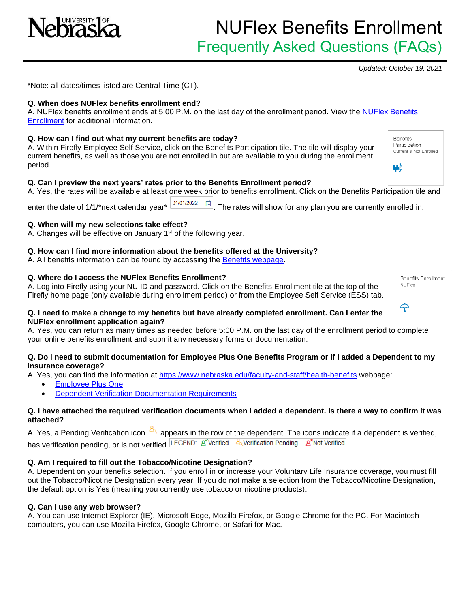

## NUFlex Benefits Enrollment Frequently Asked Questions (FAQs)

*Updated: October 19, 2021*

**Benefits** Participation Current & Not Enrolled

W.

\*Note: all dates/times listed are Central Time (CT).

## **Q. When does NUFlex benefits enrollment end?**

A. NUFlex benefits enrollment ends at 5:00 P.M. on the last day of the enrollment period. View the [NUFlex Benefits](https://nebraska.edu/faculty-and-staff/health-benefits/summary)  [Enrollment](https://nebraska.edu/faculty-and-staff/health-benefits/summary) for additional information.

## **Q. How can I find out what my current benefits are today?**

A. Within Firefly Employee Self Service, click on the Benefits Participation tile. The tile will display your current benefits, as well as those you are not enrolled in but are available to you during the enrollment period.

## **Q. Can I preview the next years' rates prior to the Benefits Enrollment period?**

A. Yes, the rates will be available at least one week prior to benefits enrollment. Click on the Benefits Participation tile and

enter the date of 1/1/\*next calendar year\*  $\frac{101/01/2022 \text{ m}}{2}$ . The rates will show for any plan you are currently enrolled in.

## **Q. When will my new selections take effect?**

A. Changes will be effective on January  $1<sup>st</sup>$  of the following year.

## **Q. How can I find more information about the benefits offered at the University?**

A. All benefits information can be found by accessing the [Benefits webpage.](https://nebraska.edu/faculty-and-staff/health-benefits)

## **Q. Where do I access the NUFlex Benefits Enrollment?**

A. Log into Firefly using your NU ID and password. Click on the Benefits Enrollment tile at the top of the Firefly home page (only available during enrollment period) or from the Employee Self Service (ESS) tab.

| <b>Benefits Enrollment</b><br><b>NUFlex</b> |  |
|---------------------------------------------|--|
|                                             |  |

#### **Q. I need to make a change to my benefits but have already completed enrollment. Can I enter the NUFlex enrollment application again?**

A. Yes, you can return as many times as needed before 5:00 P.M. on the last day of the enrollment period to complete your online benefits enrollment and submit any necessary forms or documentation.

#### **Q. Do I need to submit documentation for Employee Plus One Benefits Program or if I added a Dependent to my insurance coverage?**

A. Yes, you can find the information at<https://www.nebraska.edu/faculty-and-staff/health-benefits> webpage:

- [Employee Plus One](https://nebraska.edu/faculty-and-staff/health-benefits/employee-plus-one.html)
- **[Dependent Verification Documentation Requirements](https://nebraska.edu/-/media/projects/unca/faculty-staff/health-benefits/dependentinformationrequestform.pdf)**

#### **Q. I have attached the required verification documents when I added a dependent. Is there a way to confirm it was attached?**

A. Yes, a Pending Verification icon  $\frac{a_0}{b_1}$  appears in the row of the dependent. The icons indicate if a dependent is verified, has verification pending, or is not verified. LEGEND: 8 Verified 2 Verification Pending 8 Not Verified

## **Q. Am I required to fill out the Tobacco/Nicotine Designation?**

A. Dependent on your benefits selection. If you enroll in or increase your Voluntary Life Insurance coverage, you must fill out the Tobacco/Nicotine Designation every year. If you do not make a selection from the Tobacco/Nicotine Designation, the default option is Yes (meaning you currently use tobacco or nicotine products).

## **Q. Can I use any web browser?**

A. You can use Internet Explorer (IE), Microsoft Edge, Mozilla Firefox, or Google Chrome for the PC. For Macintosh computers, you can use Mozilla Firefox, Google Chrome, or Safari for Mac.